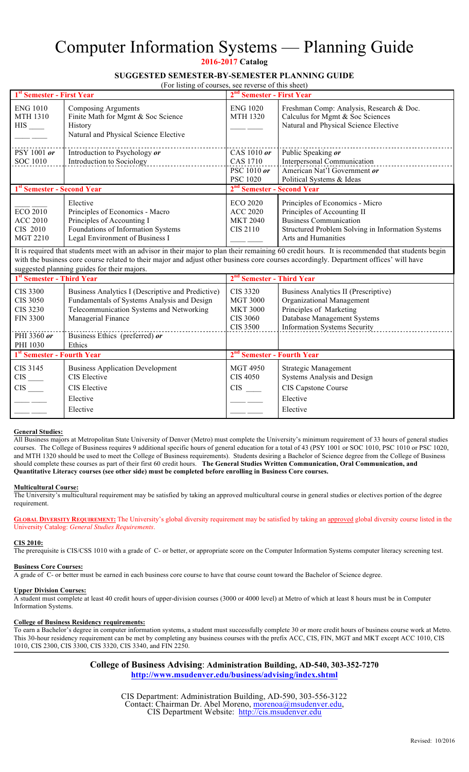# Computer Information Systems — Planning Guide

**2016-2017 Catalog** 

## **SUGGESTED SEMESTER-BY-SEMESTER PLANNING GUIDE**

(For listing of courses, see reverse of this sheet)

| 1st Semester - First Year                                                |                                                                                                                                                                                       | 2 <sup>nd</sup> Semester - First Year                                                       |                                                                                                                                                                             |  |
|--------------------------------------------------------------------------|---------------------------------------------------------------------------------------------------------------------------------------------------------------------------------------|---------------------------------------------------------------------------------------------|-----------------------------------------------------------------------------------------------------------------------------------------------------------------------------|--|
| <b>ENG 1010</b><br><b>MTH 1310</b><br>$HIS$ <sub>____</sub>              | <b>Composing Arguments</b><br>Finite Math for Mgmt & Soc Science<br>History<br>Natural and Physical Science Elective                                                                  | <b>ENG 1020</b><br><b>MTH 1320</b>                                                          | Freshman Comp: Analysis, Research & Doc.<br>Calculus for Mgmt & Soc Sciences<br>Natural and Physical Science Elective                                                       |  |
| PSY 1001 or                                                              | Introduction to Psychology or                                                                                                                                                         | CAS 1010 or                                                                                 | Public Speaking or                                                                                                                                                          |  |
| <b>SOC 1010</b>                                                          | Introduction to Sociology                                                                                                                                                             | <b>CAS 1710</b><br>PSC 1010 or                                                              | Interpersonal Communication<br>American Nat'l Government or                                                                                                                 |  |
|                                                                          |                                                                                                                                                                                       | <b>PSC 1020</b>                                                                             | Political Systems & Ideas                                                                                                                                                   |  |
| 1 <sup>st</sup> Semester - Second Year                                   |                                                                                                                                                                                       | 2 <sup>nd</sup> Semester - Second Year                                                      |                                                                                                                                                                             |  |
| <b>ECO 2010</b><br><b>ACC 2010</b><br>CIS 2010<br><b>MGT 2210</b>        | Elective<br>Principles of Economics - Macro<br>Principles of Accounting I<br>Foundations of Information Systems<br>Legal Environment of Business I                                    | <b>ECO 2020</b><br><b>ACC 2020</b><br><b>MKT 2040</b><br><b>CIS 2110</b>                    | Principles of Economics - Micro<br>Principles of Accounting II<br><b>Business Communication</b><br>Structured Problem Solving in Information Systems<br>Arts and Humanities |  |
|                                                                          | with the business core course related to their major and adjust other business core courses accordingly. Department offices' will have<br>suggested planning guides for their majors. |                                                                                             | It is required that students meet with an advisor in their major to plan their remaining 60 credit hours. It is recommended that students begin                             |  |
| 1 <sup>st</sup> Semester - Third Year                                    |                                                                                                                                                                                       | 2 <sup>nd</sup> Semester - Third Year                                                       |                                                                                                                                                                             |  |
| <b>CIS 3300</b><br><b>CIS 3050</b><br><b>CIS 3230</b><br><b>FIN 3300</b> | Business Analytics I (Descriptive and Predictive)<br>Fundamentals of Systems Analysis and Design<br>Telecommunication Systems and Networking<br>Managerial Finance                    | <b>CIS 3320</b><br><b>MGT 3000</b><br><b>MKT 3000</b><br><b>CIS 3060</b><br><b>CIS 3500</b> | Business Analytics II (Prescriptive)<br>Organizational Management<br>Principles of Marketing<br>Database Management Systems<br><b>Information Systems Security</b>          |  |
| PHI 3360 or<br>PHI 1030                                                  | Business Ethics (preferred) or<br>Ethics                                                                                                                                              |                                                                                             |                                                                                                                                                                             |  |
| 1st Semester - Fourth Year                                               |                                                                                                                                                                                       | 2 <sup>nd</sup> Semester - Fourth Year                                                      |                                                                                                                                                                             |  |
| CIS 3145<br>$CIS$ <sub>___</sub><br><b>CIS</b>                           | <b>Business Application Development</b><br><b>CIS</b> Elective<br>CIS Elective                                                                                                        | <b>MGT 4950</b><br><b>CIS 4050</b><br><b>CIS</b>                                            | <b>Strategic Management</b><br>Systems Analysis and Design<br>CIS Capstone Course                                                                                           |  |
|                                                                          | Elective                                                                                                                                                                              |                                                                                             | Elective                                                                                                                                                                    |  |

#### **General Studies:**

 $\frac{1}{2}$ 

All Business majors at Metropolitan State University of Denver (Metro) must complete the University's minimum requirement of 33 hours of general studies courses. The College of Business requires 9 additional specific hours of general education for a total of 43 (PSY 1001 or SOC 1010, PSC 1010 or PSC 1020, and MTH 1320 should be used to meet the College of Business requirements). Students desiring a Bachelor of Science degree from the College of Business should complete these courses as part of their first 60 credit hours. **The General Studies Written Communication, Oral Communication, and Quantitative Literacy courses (see other side) must be completed before enrolling in Business Core courses.**

 $\frac{1}{2}$ 

Elective

#### **Multicultural Course:**

The University's multicultural requirement may be satisfied by taking an approved multicultural course in general studies or electives portion of the degree requirement.

**GLOBAL DIVERSITY REQUIREMENT:** The University's global diversity requirement may be satisfied by taking an approved global diversity course listed in the University Catalog: *General Studies Requirements*.

#### **CIS 2010:**

The prerequisite is CIS/CSS 1010 with a grade of C- or better, or appropriate score on the Computer Information Systems computer literacy screening test.

#### **Business Core Courses:**

A grade of C- or better must be earned in each business core course to have that course count toward the Bachelor of Science degree.

### **Upper Division Courses:**

A student must complete at least 40 credit hours of upper-division courses (3000 or 4000 level) at Metro of which at least 8 hours must be in Computer Information Systems.

#### **College of Business Residency requirements:**

Elective

To earn a Bachelor's degree in computer information systems, a student must successfully complete 30 or more credit hours of business course work at Metro. This 30-hour residency requirement can be met by completing any business courses with the prefix ACC, CIS, FIN, MGT and MKT except ACC 1010, CIS 1010, CIS 2300, CIS 3300, CIS 3320, CIS 3340, and FIN 2250.

> **College of Business Advising**: **Administration Building, AD-540, 303-352-7270 http://www.msudenver.edu/business/advising/index.shtml**

> > CIS Department: Administration Building, AD-590, 303-556-3122 Contact: Chairman Dr. Abel Moreno, morenoa@msudenver.edu,<br>CIS Department Website: http://cis.msudenver.edu